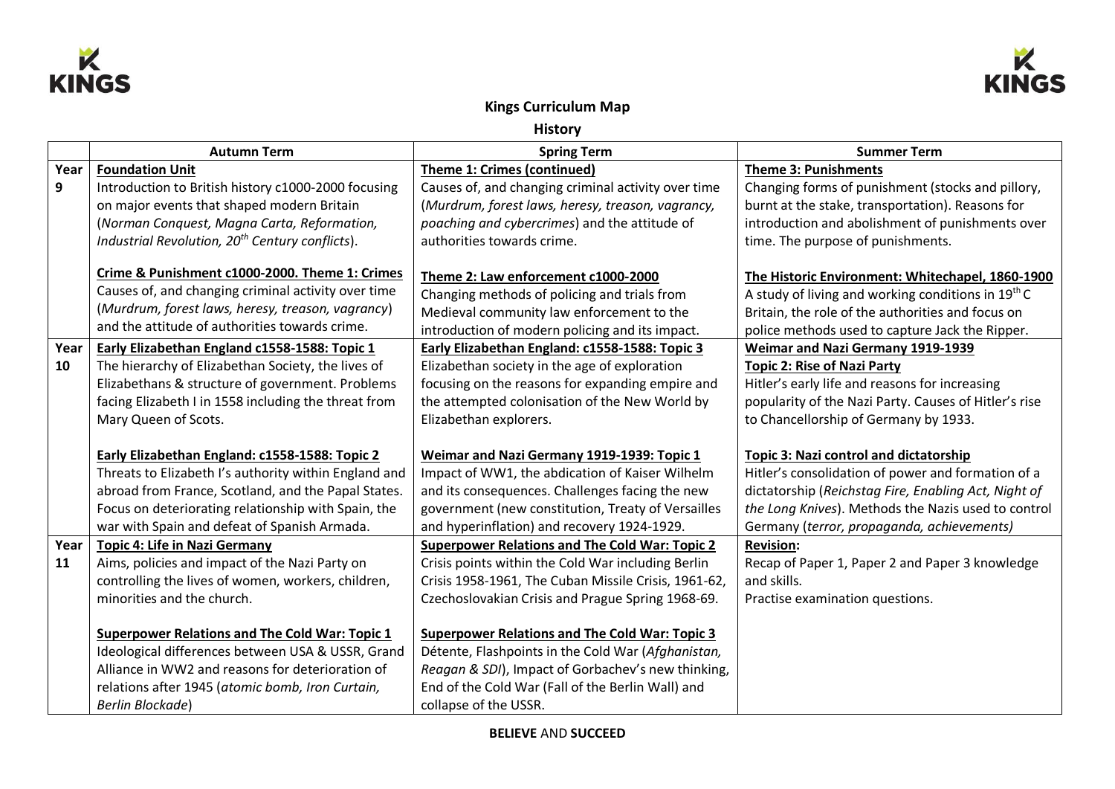



## **Kings Curriculum Map**

**History**

|      | <b>Autumn Term</b>                                          | <b>Spring Term</b>                                    | <b>Summer Term</b>                                             |
|------|-------------------------------------------------------------|-------------------------------------------------------|----------------------------------------------------------------|
| Year | <b>Foundation Unit</b>                                      | Theme 1: Crimes (continued)                           | <b>Theme 3: Punishments</b>                                    |
| 9    | Introduction to British history c1000-2000 focusing         | Causes of, and changing criminal activity over time   | Changing forms of punishment (stocks and pillory,              |
|      | on major events that shaped modern Britain                  | (Murdrum, forest laws, heresy, treason, vagrancy,     | burnt at the stake, transportation). Reasons for               |
|      | (Norman Conquest, Magna Carta, Reformation,                 | poaching and cybercrimes) and the attitude of         | introduction and abolishment of punishments over               |
|      | Industrial Revolution, 20 <sup>th</sup> Century conflicts). | authorities towards crime.                            | time. The purpose of punishments.                              |
|      | Crime & Punishment c1000-2000. Theme 1: Crimes              | Theme 2: Law enforcement c1000-2000                   | The Historic Environment: Whitechapel, 1860-1900               |
|      | Causes of, and changing criminal activity over time         | Changing methods of policing and trials from          | A study of living and working conditions in 19 <sup>th</sup> C |
|      | (Murdrum, forest laws, heresy, treason, vagrancy)           | Medieval community law enforcement to the             | Britain, the role of the authorities and focus on              |
|      | and the attitude of authorities towards crime.              | introduction of modern policing and its impact.       | police methods used to capture Jack the Ripper.                |
| Year | Early Elizabethan England c1558-1588: Topic 1               | Early Elizabethan England: c1558-1588: Topic 3        | Weimar and Nazi Germany 1919-1939                              |
| 10   | The hierarchy of Elizabethan Society, the lives of          | Elizabethan society in the age of exploration         | <b>Topic 2: Rise of Nazi Party</b>                             |
|      | Elizabethans & structure of government. Problems            | focusing on the reasons for expanding empire and      | Hitler's early life and reasons for increasing                 |
|      | facing Elizabeth I in 1558 including the threat from        | the attempted colonisation of the New World by        | popularity of the Nazi Party. Causes of Hitler's rise          |
|      | Mary Queen of Scots.                                        | Elizabethan explorers.                                | to Chancellorship of Germany by 1933.                          |
|      | Early Elizabethan England: c1558-1588: Topic 2              | Weimar and Nazi Germany 1919-1939: Topic 1            | <b>Topic 3: Nazi control and dictatorship</b>                  |
|      | Threats to Elizabeth I's authority within England and       | Impact of WW1, the abdication of Kaiser Wilhelm       | Hitler's consolidation of power and formation of a             |
|      | abroad from France, Scotland, and the Papal States.         | and its consequences. Challenges facing the new       | dictatorship (Reichstag Fire, Enabling Act, Night of           |
|      | Focus on deteriorating relationship with Spain, the         | government (new constitution, Treaty of Versailles    | the Long Knives). Methods the Nazis used to control            |
|      | war with Spain and defeat of Spanish Armada.                | and hyperinflation) and recovery 1924-1929.           | Germany (terror, propaganda, achievements)                     |
| Year | <b>Topic 4: Life in Nazi Germany</b>                        | <b>Superpower Relations and The Cold War: Topic 2</b> | <b>Revision:</b>                                               |
| 11   | Aims, policies and impact of the Nazi Party on              | Crisis points within the Cold War including Berlin    | Recap of Paper 1, Paper 2 and Paper 3 knowledge                |
|      | controlling the lives of women, workers, children,          | Crisis 1958-1961, The Cuban Missile Crisis, 1961-62,  | and skills.                                                    |
|      | minorities and the church.                                  | Czechoslovakian Crisis and Prague Spring 1968-69.     | Practise examination questions.                                |
|      |                                                             |                                                       |                                                                |
|      | <b>Superpower Relations and The Cold War: Topic 1</b>       | <b>Superpower Relations and The Cold War: Topic 3</b> |                                                                |
|      | Ideological differences between USA & USSR, Grand           | Détente, Flashpoints in the Cold War (Afghanistan,    |                                                                |
|      | Alliance in WW2 and reasons for deterioration of            | Reagan & SDI), Impact of Gorbachev's new thinking,    |                                                                |
|      | relations after 1945 (atomic bomb, Iron Curtain,            | End of the Cold War (Fall of the Berlin Wall) and     |                                                                |
|      | <b>Berlin Blockade)</b>                                     | collapse of the USSR.                                 |                                                                |